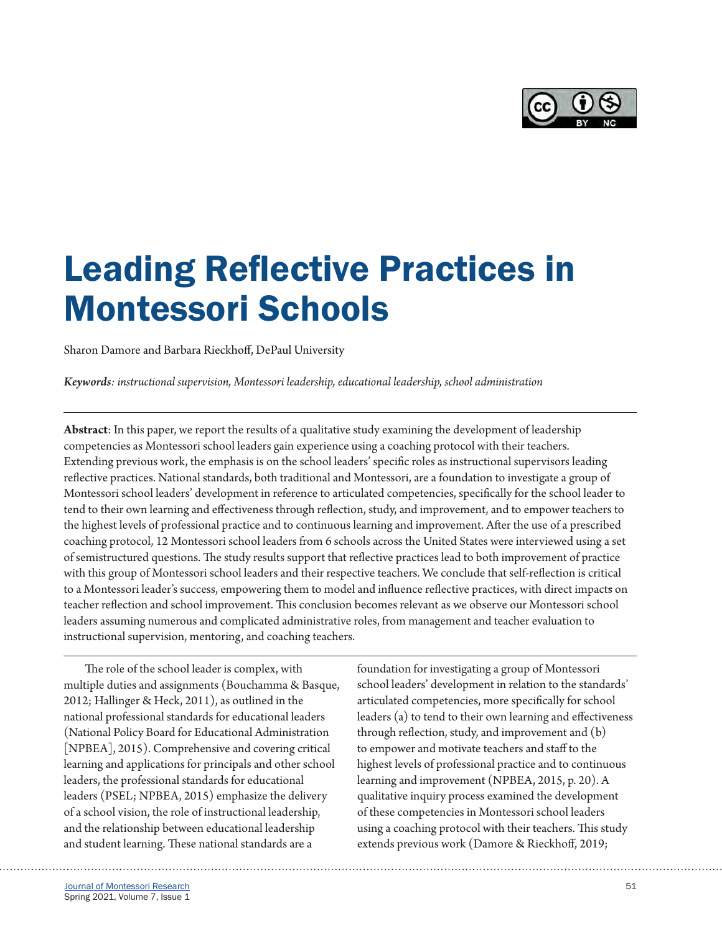

# Leading Reflective Practices in Montessori Schools

Sharon Damore and Barbara Rieckhoff, DePaul University

*Keywords: instructional supervision, Montessori leadership, educational leadership, school administration*

**Abstract**: In this paper, we report the results of a qualitative study examining the development of leadership competencies as Montessori school leaders gain experience using a coaching protocol with their teachers. Extending previous work, the emphasis is on the school leaders' specific roles as instructional supervisors leading reflective practices. National standards, both traditional and Montessori, are a foundation to investigate a group of Montessori school leaders' development in reference to articulated competencies, specifically for the school leader to tend to their own learning and effectiveness through reflection, study, and improvement, and to empower teachers to the highest levels of professional practice and to continuous learning and improvement. After the use of a prescribed coaching protocol, 12 Montessori school leaders from 6 schools across the United States were interviewed using a set of semistructured questions. The study results support that reflective practices lead to both improvement of practice with this group of Montessori school leaders and their respective teachers. We conclude that self-reflection is critical to a Montessori leader's success, empowering them to model and influence reflective practices, with direct impacts on teacher reflection and school improvement. This conclusion becomes relevant as we observe our Montessori school leaders assuming numerous and complicated administrative roles, from management and teacher evaluation to instructional supervision, mentoring, and coaching teachers.

The role of the school leader is complex, with multiple duties and assignments (Bouchamma & Basque, 2012; Hallinger & Heck, 2011), as outlined in the national professional standards for educational leaders (National Policy Board for Educational Administration [NPBEA], 2015). Comprehensive and covering critical learning and applications for principals and other school leaders, the professional standards for educational leaders (PSEL; NPBEA, 2015) emphasize the delivery of a school vision, the role of instructional leadership, and the relationship between educational leadership and student learning. These national standards are a

foundation for investigating a group of Montessori school leaders' development in relation to the standards' articulated competencies, more specifically for school leaders (a) to tend to their own learning and effectiveness through reflection, study, and improvement and (b) to empower and motivate teachers and staff to the highest levels of professional practice and to continuous learning and improvement (NPBEA, 2015, p. 20). A qualitative inquiry process examined the development of these competencies in Montessori school leaders using a coaching protocol with their teachers. This study extends previous work (Damore & Rieckhoff, 2019;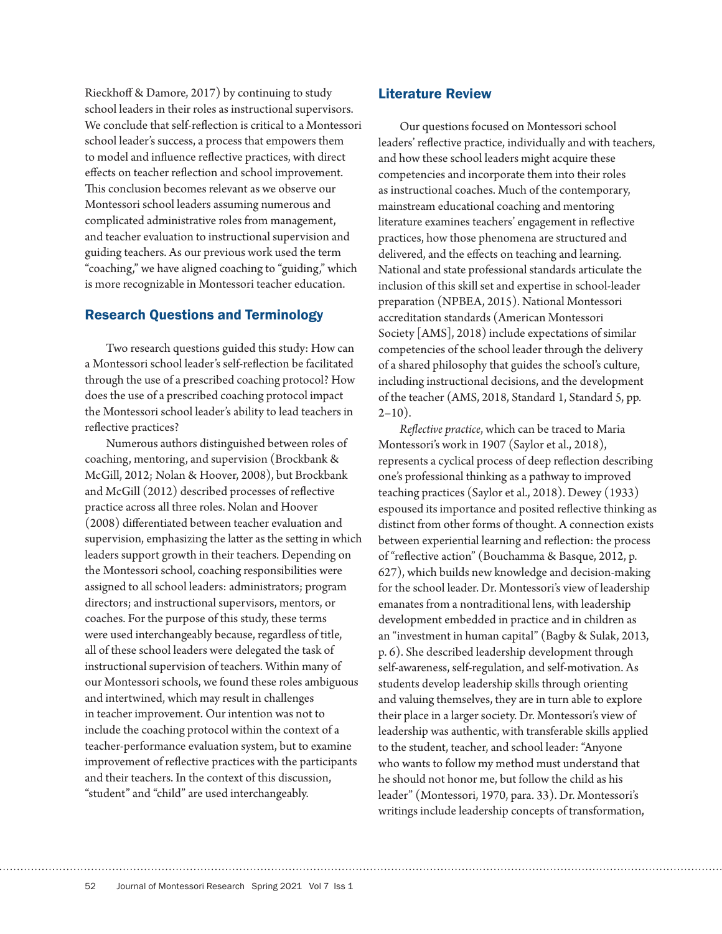Rieckhoff & Damore, 2017) by continuing to study school leaders in their roles as instructional supervisors. We conclude that self-reflection is critical to a Montessori school leader's success, a process that empowers them to model and influence reflective practices, with direct effects on teacher reflection and school improvement. This conclusion becomes relevant as we observe our Montessori school leaders assuming numerous and complicated administrative roles from management, and teacher evaluation to instructional supervision and guiding teachers. As our previous work used the term "coaching," we have aligned coaching to "guiding," which is more recognizable in Montessori teacher education.

# Research Questions and Terminology

Two research questions guided this study: How can a Montessori school leader's self-reflection be facilitated through the use of a prescribed coaching protocol? How does the use of a prescribed coaching protocol impact the Montessori school leader's ability to lead teachers in reflective practices?

Numerous authors distinguished between roles of coaching, mentoring, and supervision (Brockbank & McGill, 2012; Nolan & Hoover, 2008), but Brockbank and McGill (2012) described processes of reflective practice across all three roles. Nolan and Hoover (2008) differentiated between teacher evaluation and supervision, emphasizing the latter as the setting in which leaders support growth in their teachers. Depending on the Montessori school, coaching responsibilities were assigned to all school leaders: administrators; program directors; and instructional supervisors, mentors, or coaches. For the purpose of this study, these terms were used interchangeably because, regardless of title, all of these school leaders were delegated the task of instructional supervision of teachers. Within many of our Montessori schools, we found these roles ambiguous and intertwined, which may result in challenges in teacher improvement. Our intention was not to include the coaching protocol within the context of a teacher-performance evaluation system, but to examine improvement of reflective practices with the participants and their teachers. In the context of this discussion, "student" and "child" are used interchangeably.

# Literature Review

Our questions focused on Montessori school leaders' reflective practice, individually and with teachers, and how these school leaders might acquire these competencies and incorporate them into their roles as instructional coaches. Much of the contemporary, mainstream educational coaching and mentoring literature examines teachers' engagement in reflective practices, how those phenomena are structured and delivered, and the effects on teaching and learning. National and state professional standards articulate the inclusion of this skill set and expertise in school-leader preparation (NPBEA, 2015). National Montessori accreditation standards (American Montessori Society [AMS], 2018) include expectations of similar competencies of the school leader through the delivery of a shared philosophy that guides the school's culture, including instructional decisions, and the development of the teacher (AMS, 2018, Standard 1, Standard 5, pp.  $2-10$ ).

*Reflective practice*, which can be traced to Maria Montessori's work in 1907 (Saylor et al., 2018), represents a cyclical process of deep reflection describing one's professional thinking as a pathway to improved teaching practices (Saylor et al., 2018). Dewey (1933) espoused its importance and posited reflective thinking as distinct from other forms of thought. A connection exists between experiential learning and reflection: the process of "reflective action" (Bouchamma & Basque, 2012, p. 627), which builds new knowledge and decision-making for the school leader. Dr. Montessori's view of leadership emanates from a nontraditional lens, with leadership development embedded in practice and in children as an "investment in human capital" (Bagby & Sulak, 2013, p. 6). She described leadership development through self-awareness, self-regulation, and self-motivation. As students develop leadership skills through orienting and valuing themselves, they are in turn able to explore their place in a larger society. Dr. Montessori's view of leadership was authentic, with transferable skills applied to the student, teacher, and school leader: "Anyone who wants to follow my method must understand that he should not honor me, but follow the child as his leader" (Montessori, 1970, para. 33). Dr. Montessori's writings include leadership concepts of transformation,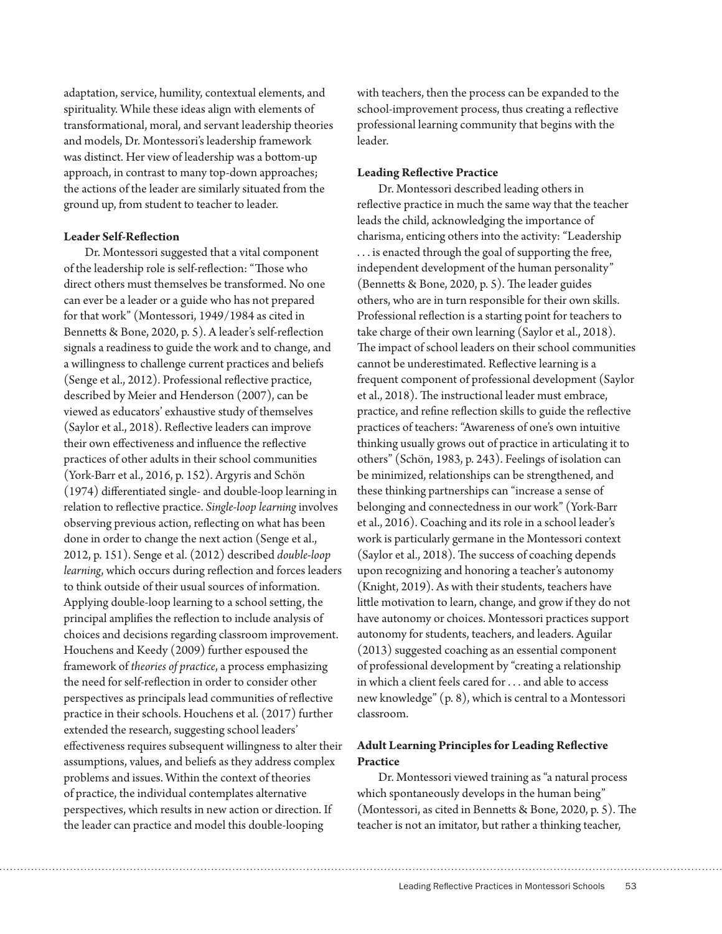adaptation, service, humility, contextual elements, and spirituality. While these ideas align with elements of transformational, moral, and servant leadership theories and models, Dr. Montessori's leadership framework was distinct. Her view of leadership was a bottom-up approach, in contrast to many top-down approaches; the actions of the leader are similarly situated from the ground up, from student to teacher to leader.

## **Leader Self-Reflection**

Dr. Montessori suggested that a vital component of the leadership role is self-reflection: "Those who direct others must themselves be transformed. No one can ever be a leader or a guide who has not prepared for that work" (Montessori, 1949/1984 as cited in Bennetts & Bone, 2020, p. 5). A leader's self-reflection signals a readiness to guide the work and to change, and a willingness to challenge current practices and beliefs (Senge et al., 2012). Professional reflective practice, described by Meier and Henderson (2007), can be viewed as educators' exhaustive study of themselves (Saylor et al., 2018). Reflective leaders can improve their own effectiveness and influence the reflective practices of other adults in their school communities (York-Barr et al., 2016, p. 152). Argyris and Schön (1974) differentiated single- and double-loop learning in relation to reflective practice. *Single-loop learning* involves observing previous action, reflecting on what has been done in order to change the next action (Senge et al., 2012, p. 151). Senge et al. (2012) described *double-loop learning*, which occurs during reflection and forces leaders to think outside of their usual sources of information. Applying double-loop learning to a school setting, the principal amplifies the reflection to include analysis of choices and decisions regarding classroom improvement. Houchens and Keedy (2009) further espoused the framework of *theories of practice*, a process emphasizing the need for self-reflection in order to consider other perspectives as principals lead communities of reflective practice in their schools. Houchens et al. (2017) further extended the research, suggesting school leaders' effectiveness requires subsequent willingness to alter their assumptions, values, and beliefs as they address complex problems and issues. Within the context of theories of practice, the individual contemplates alternative perspectives, which results in new action or direction. If the leader can practice and model this double-looping

with teachers, then the process can be expanded to the school-improvement process, thus creating a reflective professional learning community that begins with the leader.

## **Leading Reflective Practice**

Dr. Montessori described leading others in reflective practice in much the same way that the teacher leads the child, acknowledging the importance of charisma, enticing others into the activity: "Leadership . . . is enacted through the goal of supporting the free, independent development of the human personality" (Bennetts & Bone, 2020, p. 5). The leader guides others, who are in turn responsible for their own skills. Professional reflection is a starting point for teachers to take charge of their own learning (Saylor et al., 2018). The impact of school leaders on their school communities cannot be underestimated. Reflective learning is a frequent component of professional development (Saylor et al., 2018). The instructional leader must embrace, practice, and refine reflection skills to guide the reflective practices of teachers: "Awareness of one's own intuitive thinking usually grows out of practice in articulating it to others" (Schön, 1983, p. 243). Feelings of isolation can be minimized, relationships can be strengthened, and these thinking partnerships can "increase a sense of belonging and connectedness in our work" (York-Barr et al., 2016). Coaching and its role in a school leader's work is particularly germane in the Montessori context (Saylor et al., 2018). The success of coaching depends upon recognizing and honoring a teacher's autonomy (Knight, 2019). As with their students, teachers have little motivation to learn, change, and grow if they do not have autonomy or choices. Montessori practices support autonomy for students, teachers, and leaders. Aguilar (2013) suggested coaching as an essential component of professional development by "creating a relationship in which a client feels cared for . . . and able to access new knowledge" (p. 8), which is central to a Montessori classroom.

# **Adult Learning Principles for Leading Reflective Practice**

Dr. Montessori viewed training as "a natural process which spontaneously develops in the human being" (Montessori, as cited in Bennetts & Bone, 2020, p. 5). The teacher is not an imitator, but rather a thinking teacher,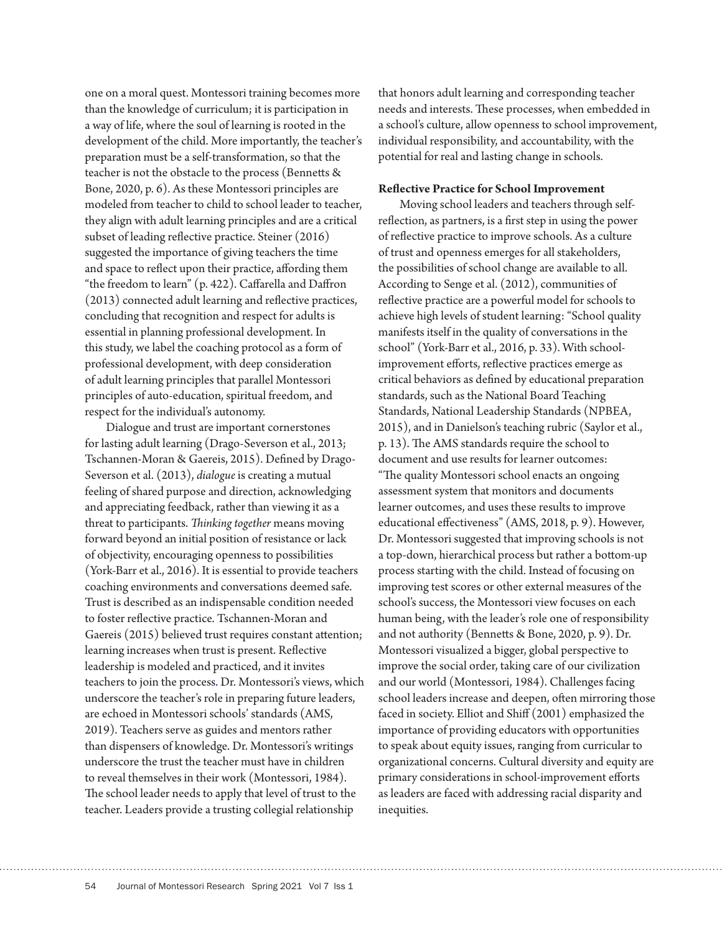one on a moral quest. Montessori training becomes more than the knowledge of curriculum; it is participation in a way of life, where the soul of learning is rooted in the development of the child. More importantly, the teacher's preparation must be a self-transformation, so that the teacher is not the obstacle to the process (Bennetts & Bone, 2020, p. 6). As these Montessori principles are modeled from teacher to child to school leader to teacher, they align with adult learning principles and are a critical subset of leading reflective practice. Steiner (2016) suggested the importance of giving teachers the time and space to reflect upon their practice, affording them "the freedom to learn" (p. 422). Caffarella and Daffron (2013) connected adult learning and reflective practices, concluding that recognition and respect for adults is essential in planning professional development. In this study, we label the coaching protocol as a form of professional development, with deep consideration of adult learning principles that parallel Montessori principles of auto-education, spiritual freedom, and respect for the individual's autonomy.

Dialogue and trust are important cornerstones for lasting adult learning (Drago-Severson et al., 2013; Tschannen-Moran & Gaereis, 2015). Defined by Drago-Severson et al. (2013), *dialogue* is creating a mutual feeling of shared purpose and direction, acknowledging and appreciating feedback, rather than viewing it as a threat to participants. *Thinking together* means moving forward beyond an initial position of resistance or lack of objectivity, encouraging openness to possibilities (York-Barr et al., 2016). It is essential to provide teachers coaching environments and conversations deemed safe. Trust is described as an indispensable condition needed to foster reflective practice. Tschannen-Moran and Gaereis (2015) believed trust requires constant attention; learning increases when trust is present. Reflective leadership is modeled and practiced, and it invites teachers to join the process. Dr. Montessori's views, which underscore the teacher's role in preparing future leaders, are echoed in Montessori schools' standards (AMS, 2019). Teachers serve as guides and mentors rather than dispensers of knowledge. Dr. Montessori's writings underscore the trust the teacher must have in children to reveal themselves in their work (Montessori, 1984). The school leader needs to apply that level of trust to the teacher. Leaders provide a trusting collegial relationship

that honors adult learning and corresponding teacher needs and interests. These processes, when embedded in a school's culture, allow openness to school improvement, individual responsibility, and accountability, with the potential for real and lasting change in schools.

## **Reflective Practice for School Improvement**

Moving school leaders and teachers through selfreflection, as partners, is a first step in using the power of reflective practice to improve schools. As a culture of trust and openness emerges for all stakeholders, the possibilities of school change are available to all. According to Senge et al. (2012), communities of reflective practice are a powerful model for schools to achieve high levels of student learning: "School quality manifests itself in the quality of conversations in the school" (York-Barr et al., 2016, p. 33). With schoolimprovement efforts, reflective practices emerge as critical behaviors as defined by educational preparation standards, such as the National Board Teaching Standards, National Leadership Standards (NPBEA, 2015), and in Danielson's teaching rubric (Saylor et al., p. 13). The AMS standards require the school to document and use results for learner outcomes: "The quality Montessori school enacts an ongoing assessment system that monitors and documents learner outcomes, and uses these results to improve educational effectiveness" (AMS, 2018, p. 9). However, Dr. Montessori suggested that improving schools is not a top-down, hierarchical process but rather a bottom-up process starting with the child. Instead of focusing on improving test scores or other external measures of the school's success, the Montessori view focuses on each human being, with the leader's role one of responsibility and not authority (Bennetts & Bone, 2020, p. 9). Dr. Montessori visualized a bigger, global perspective to improve the social order, taking care of our civilization and our world (Montessori, 1984). Challenges facing school leaders increase and deepen, often mirroring those faced in society. Elliot and Shiff (2001) emphasized the importance of providing educators with opportunities to speak about equity issues, ranging from curricular to organizational concerns. Cultural diversity and equity are primary considerations in school-improvement efforts as leaders are faced with addressing racial disparity and inequities.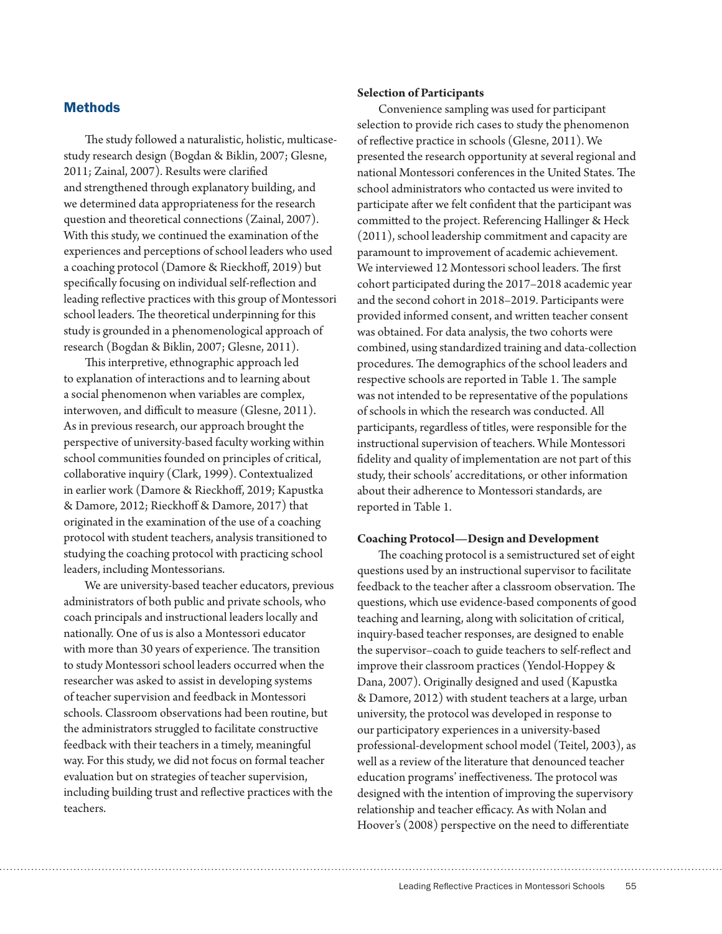# **Methods**

The study followed a naturalistic, holistic, multicasestudy research design (Bogdan & Biklin, 2007; Glesne, 2011; Zainal, 2007). Results were clarified and strengthened through explanatory building, and we determined data appropriateness for the research question and theoretical connections (Zainal, 2007). With this study, we continued the examination of the experiences and perceptions of school leaders who used a coaching protocol (Damore & Rieckhoff, 2019) but specifically focusing on individual self-reflection and leading reflective practices with this group of Montessori school leaders. The theoretical underpinning for this study is grounded in a phenomenological approach of research (Bogdan & Biklin, 2007; Glesne, 2011).

This interpretive, ethnographic approach led to explanation of interactions and to learning about a social phenomenon when variables are complex, interwoven, and difficult to measure (Glesne, 2011). As in previous research, our approach brought the perspective of university-based faculty working within school communities founded on principles of critical, collaborative inquiry (Clark, 1999). Contextualized in earlier work (Damore & Rieckhoff, 2019; Kapustka & Damore, 2012; Rieckhoff & Damore, 2017) that originated in the examination of the use of a coaching protocol with student teachers, analysis transitioned to studying the coaching protocol with practicing school leaders, including Montessorians.

We are university-based teacher educators, previous administrators of both public and private schools, who coach principals and instructional leaders locally and nationally. One of us is also a Montessori educator with more than 30 years of experience. The transition to study Montessori school leaders occurred when the researcher was asked to assist in developing systems of teacher supervision and feedback in Montessori schools. Classroom observations had been routine, but the administrators struggled to facilitate constructive feedback with their teachers in a timely, meaningful way. For this study, we did not focus on formal teacher evaluation but on strategies of teacher supervision, including building trust and reflective practices with the teachers.

## **Selection of Participants**

Convenience sampling was used for participant selection to provide rich cases to study the phenomenon of reflective practice in schools (Glesne, 2011). We presented the research opportunity at several regional and national Montessori conferences in the United States. The school administrators who contacted us were invited to participate after we felt confident that the participant was committed to the project. Referencing Hallinger & Heck (2011), school leadership commitment and capacity are paramount to improvement of academic achievement. We interviewed 12 Montessori school leaders. The first cohort participated during the 2017–2018 academic year and the second cohort in 2018–2019. Participants were provided informed consent, and written teacher consent was obtained. For data analysis, the two cohorts were combined, using standardized training and data-collection procedures. The demographics of the school leaders and respective schools are reported in Table 1. The sample was not intended to be representative of the populations of schools in which the research was conducted. All participants, regardless of titles, were responsible for the instructional supervision of teachers. While Montessori fidelity and quality of implementation are not part of this study, their schools' accreditations, or other information about their adherence to Montessori standards, are reported in Table 1.

## **Coaching Protocol—Design and Development**

The coaching protocol is a semistructured set of eight questions used by an instructional supervisor to facilitate feedback to the teacher after a classroom observation. The questions, which use evidence-based components of good teaching and learning, along with solicitation of critical, inquiry-based teacher responses, are designed to enable the supervisor–coach to guide teachers to self-reflect and improve their classroom practices (Yendol-Hoppey & Dana, 2007). Originally designed and used (Kapustka & Damore, 2012) with student teachers at a large, urban university, the protocol was developed in response to our participatory experiences in a university-based professional-development school model (Teitel, 2003), as well as a review of the literature that denounced teacher education programs' ineffectiveness. The protocol was designed with the intention of improving the supervisory relationship and teacher efficacy. As with Nolan and Hoover's (2008) perspective on the need to differentiate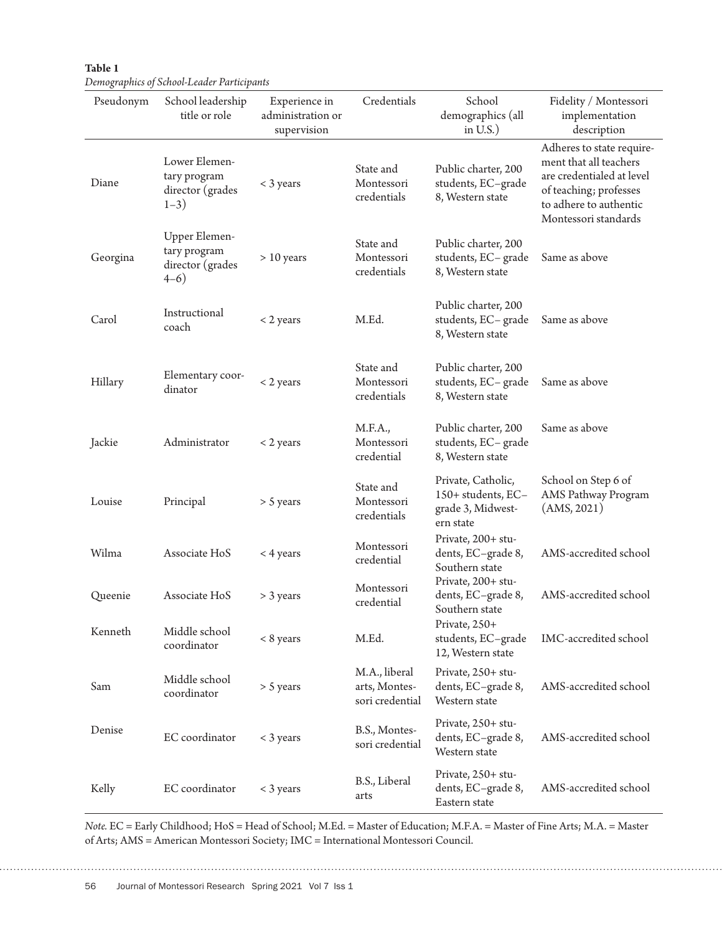| Table 1                                    |  |
|--------------------------------------------|--|
| Demographics of School-Leader Participants |  |

| Pseudonym | School leadership<br>title or role                            | Experience in<br>administration or<br>supervision | Credentials                                       | School<br>demographics (all<br>in $U.S.$ )                                 | Fidelity / Montessori<br>implementation<br>description                                                                                                       |
|-----------|---------------------------------------------------------------|---------------------------------------------------|---------------------------------------------------|----------------------------------------------------------------------------|--------------------------------------------------------------------------------------------------------------------------------------------------------------|
| Diane     | Lower Elemen-<br>tary program<br>director (grades<br>$1 - 3)$ | $<$ 3 years                                       | State and<br>Montessori<br>credentials            | Public charter, 200<br>students, EC-grade<br>8, Western state              | Adheres to state require-<br>ment that all teachers<br>are credentialed at level<br>of teaching; professes<br>to adhere to authentic<br>Montessori standards |
| Georgina  | Upper Elemen-<br>tary program<br>director (grades<br>$4-6)$   | $> 10$ years                                      | State and<br>Montessori<br>credentials            | Public charter, 200<br>students, EC-grade<br>8, Western state              | Same as above                                                                                                                                                |
| Carol     | Instructional<br>coach                                        | < 2 years                                         | M.Ed.                                             | Public charter, 200<br>students, EC-grade<br>8, Western state              | Same as above                                                                                                                                                |
| Hillary   | Elementary coor-<br>dinator                                   | $<$ 2 years                                       | State and<br>Montessori<br>credentials            | Public charter, 200<br>students, EC-grade<br>8, Western state              | Same as above                                                                                                                                                |
| Jackie    | Administrator                                                 | $<$ 2 years                                       | M.F.A.,<br>Montessori<br>credential               | Public charter, 200<br>students, EC-grade<br>8, Western state              | Same as above                                                                                                                                                |
| Louise    | Principal                                                     | $> 5$ years                                       | State and<br>Montessori<br>credentials            | Private, Catholic,<br>150+ students, EC-<br>grade 3, Midwest-<br>ern state | School on Step 6 of<br>AMS Pathway Program<br>(AMS, 2021)                                                                                                    |
| Wilma     | Associate HoS                                                 | < 4 years                                         | Montessori<br>credential                          | Private, 200+ stu-<br>dents, EC-grade 8,<br>Southern state                 | AMS-accredited school                                                                                                                                        |
| Queenie   | Associate HoS                                                 | > 3 years                                         | Montessori<br>credential                          | Private, 200+ stu-<br>dents, EC-grade 8,<br>Southern state                 | AMS-accredited school                                                                                                                                        |
| Kenneth   | Middle school<br>coordinator                                  | < 8 years                                         | M.Ed.                                             | Private, 250+<br>students, EC-grade<br>12, Western state                   | IMC-accredited school                                                                                                                                        |
| Sam       | Middle school<br>coordinator                                  | > 5 years                                         | M.A., liberal<br>arts, Montes-<br>sori credential | Private, 250+ stu-<br>dents, EC-grade 8,<br>Western state                  | AMS-accredited school                                                                                                                                        |
| Denise    | EC coordinator                                                | < 3 years                                         | B.S., Montes-<br>sori credential                  | Private, 250+ stu-<br>dents, EC-grade 8,<br>Western state                  | AMS-accredited school                                                                                                                                        |
| Kelly     | EC coordinator                                                | $<$ 3 years                                       | B.S., Liberal<br>arts                             | Private, 250+ stu-<br>dents, EC-grade 8,<br>Eastern state                  | AMS-accredited school                                                                                                                                        |

*Note.* EC = Early Childhood; HoS = Head of School; M.Ed. = Master of Education; M.F.A. = Master of Fine Arts; M.A. = Master of Arts; AMS = American Montessori Society; IMC = International Montessori Council.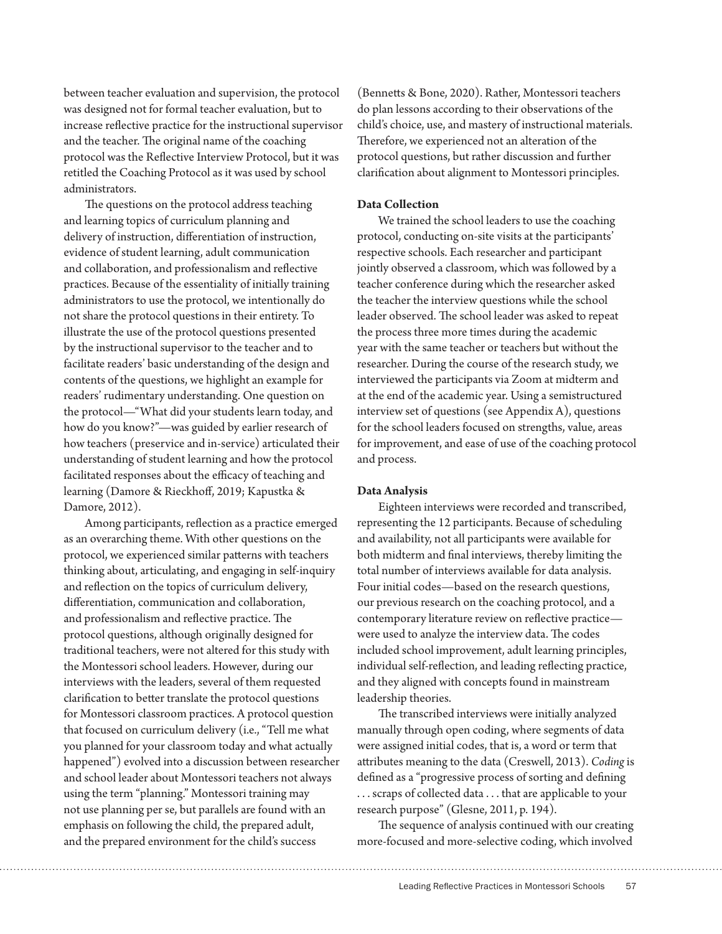between teacher evaluation and supervision, the protocol was designed not for formal teacher evaluation, but to increase reflective practice for the instructional supervisor and the teacher. The original name of the coaching protocol was the Reflective Interview Protocol, but it was retitled the Coaching Protocol as it was used by school administrators.

The questions on the protocol address teaching and learning topics of curriculum planning and delivery of instruction, differentiation of instruction, evidence of student learning, adult communication and collaboration, and professionalism and reflective practices. Because of the essentiality of initially training administrators to use the protocol, we intentionally do not share the protocol questions in their entirety. To illustrate the use of the protocol questions presented by the instructional supervisor to the teacher and to facilitate readers' basic understanding of the design and contents of the questions, we highlight an example for readers' rudimentary understanding. One question on the protocol—"What did your students learn today, and how do you know?"—was guided by earlier research of how teachers (preservice and in-service) articulated their understanding of student learning and how the protocol facilitated responses about the efficacy of teaching and learning (Damore & Rieckhoff, 2019; Kapustka & Damore, 2012).

Among participants, reflection as a practice emerged as an overarching theme. With other questions on the protocol, we experienced similar patterns with teachers thinking about, articulating, and engaging in self-inquiry and reflection on the topics of curriculum delivery, differentiation, communication and collaboration, and professionalism and reflective practice. The protocol questions, although originally designed for traditional teachers, were not altered for this study with the Montessori school leaders. However, during our interviews with the leaders, several of them requested clarification to better translate the protocol questions for Montessori classroom practices. A protocol question that focused on curriculum delivery (i.e., "Tell me what you planned for your classroom today and what actually happened") evolved into a discussion between researcher and school leader about Montessori teachers not always using the term "planning." Montessori training may not use planning per se, but parallels are found with an emphasis on following the child, the prepared adult, and the prepared environment for the child's success

(Bennetts & Bone, 2020). Rather, Montessori teachers do plan lessons according to their observations of the child's choice, use, and mastery of instructional materials. Therefore, we experienced not an alteration of the protocol questions, but rather discussion and further clarification about alignment to Montessori principles.

## **Data Collection**

We trained the school leaders to use the coaching protocol, conducting on-site visits at the participants' respective schools. Each researcher and participant jointly observed a classroom, which was followed by a teacher conference during which the researcher asked the teacher the interview questions while the school leader observed. The school leader was asked to repeat the process three more times during the academic year with the same teacher or teachers but without the researcher. During the course of the research study, we interviewed the participants via Zoom at midterm and at the end of the academic year. Using a semistructured interview set of questions (see Appendix A), questions for the school leaders focused on strengths, value, areas for improvement, and ease of use of the coaching protocol and process.

#### **Data Analysis**

Eighteen interviews were recorded and transcribed, representing the 12 participants. Because of scheduling and availability, not all participants were available for both midterm and final interviews, thereby limiting the total number of interviews available for data analysis. Four initial codes—based on the research questions, our previous research on the coaching protocol, and a contemporary literature review on reflective practice were used to analyze the interview data. The codes included school improvement, adult learning principles, individual self-reflection, and leading reflecting practice, and they aligned with concepts found in mainstream leadership theories.

The transcribed interviews were initially analyzed manually through open coding, where segments of data were assigned initial codes, that is, a word or term that attributes meaning to the data (Creswell, 2013). *Coding* is defined as a "progressive process of sorting and defining . . . scraps of collected data . . . that are applicable to your research purpose" (Glesne, 2011, p. 194).

The sequence of analysis continued with our creating more-focused and more-selective coding, which involved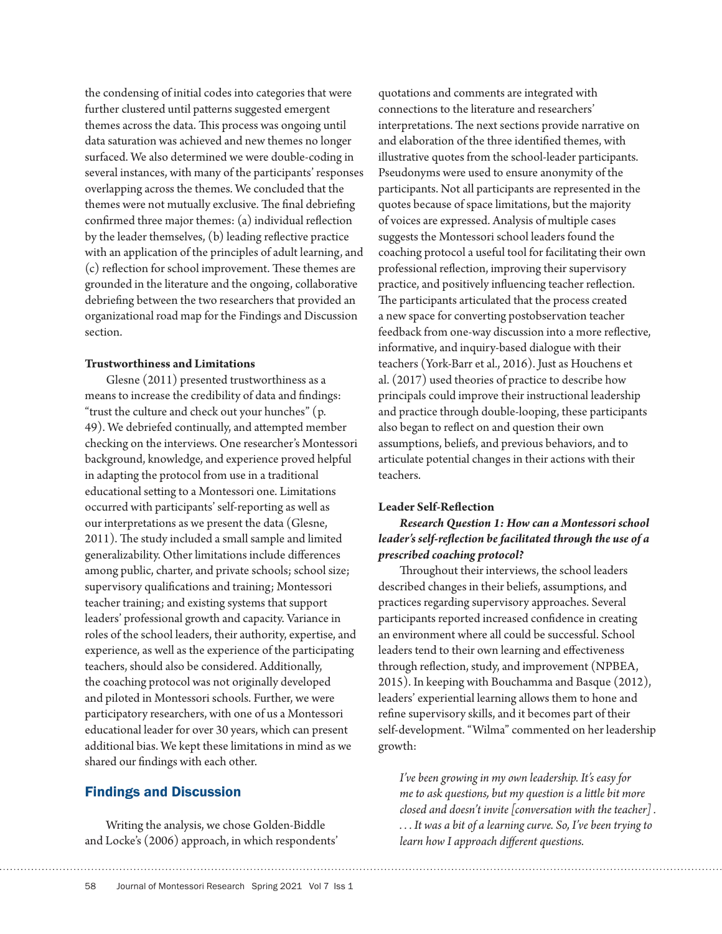the condensing of initial codes into categories that were further clustered until patterns suggested emergent themes across the data. This process was ongoing until data saturation was achieved and new themes no longer surfaced. We also determined we were double-coding in several instances, with many of the participants' responses overlapping across the themes. We concluded that the themes were not mutually exclusive. The final debriefing confirmed three major themes: (a) individual reflection by the leader themselves, (b) leading reflective practice with an application of the principles of adult learning, and (c) reflection for school improvement. These themes are grounded in the literature and the ongoing, collaborative debriefing between the two researchers that provided an organizational road map for the Findings and Discussion section.

## **Trustworthiness and Limitations**

Glesne (2011) presented trustworthiness as a means to increase the credibility of data and findings: "trust the culture and check out your hunches" (p. 49). We debriefed continually, and attempted member checking on the interviews. One researcher's Montessori background, knowledge, and experience proved helpful in adapting the protocol from use in a traditional educational setting to a Montessori one. Limitations occurred with participants' self-reporting as well as our interpretations as we present the data (Glesne, 2011). The study included a small sample and limited generalizability. Other limitations include differences among public, charter, and private schools; school size; supervisory qualifications and training; Montessori teacher training; and existing systems that support leaders' professional growth and capacity. Variance in roles of the school leaders, their authority, expertise, and experience, as well as the experience of the participating teachers, should also be considered. Additionally, the coaching protocol was not originally developed and piloted in Montessori schools. Further, we were participatory researchers, with one of us a Montessori educational leader for over 30 years, which can present additional bias. We kept these limitations in mind as we shared our findings with each other.

# Findings and Discussion

Writing the analysis, we chose Golden-Biddle and Locke's (2006) approach, in which respondents'

quotations and comments are integrated with connections to the literature and researchers' interpretations. The next sections provide narrative on and elaboration of the three identified themes, with illustrative quotes from the school-leader participants. Pseudonyms were used to ensure anonymity of the participants. Not all participants are represented in the quotes because of space limitations, but the majority of voices are expressed. Analysis of multiple cases suggests the Montessori school leaders found the coaching protocol a useful tool for facilitating their own professional reflection, improving their supervisory practice, and positively influencing teacher reflection. The participants articulated that the process created a new space for converting postobservation teacher feedback from one-way discussion into a more reflective, informative, and inquiry-based dialogue with their teachers (York-Barr et al., 2016). Just as Houchens et al. (2017) used theories of practice to describe how principals could improve their instructional leadership and practice through double-looping, these participants also began to reflect on and question their own assumptions, beliefs, and previous behaviors, and to articulate potential changes in their actions with their teachers.

## **Leader Self-Reflection**

# *Research Question 1: How can a Montessori school leader's self-reflection be facilitated through the use of a prescribed coaching protocol?*

Throughout their interviews, the school leaders described changes in their beliefs, assumptions, and practices regarding supervisory approaches. Several participants reported increased confidence in creating an environment where all could be successful. School leaders tend to their own learning and effectiveness through reflection, study, and improvement (NPBEA, 2015). In keeping with Bouchamma and Basque (2012), leaders' experiential learning allows them to hone and refine supervisory skills, and it becomes part of their self-development. "Wilma" commented on her leadership growth:

*I've been growing in my own leadership. It's easy for me to ask questions, but my question is a little bit more closed and doesn't invite [conversation with the teacher] . . . . It was a bit of a learning curve. So, I've been trying to learn how I approach different questions.*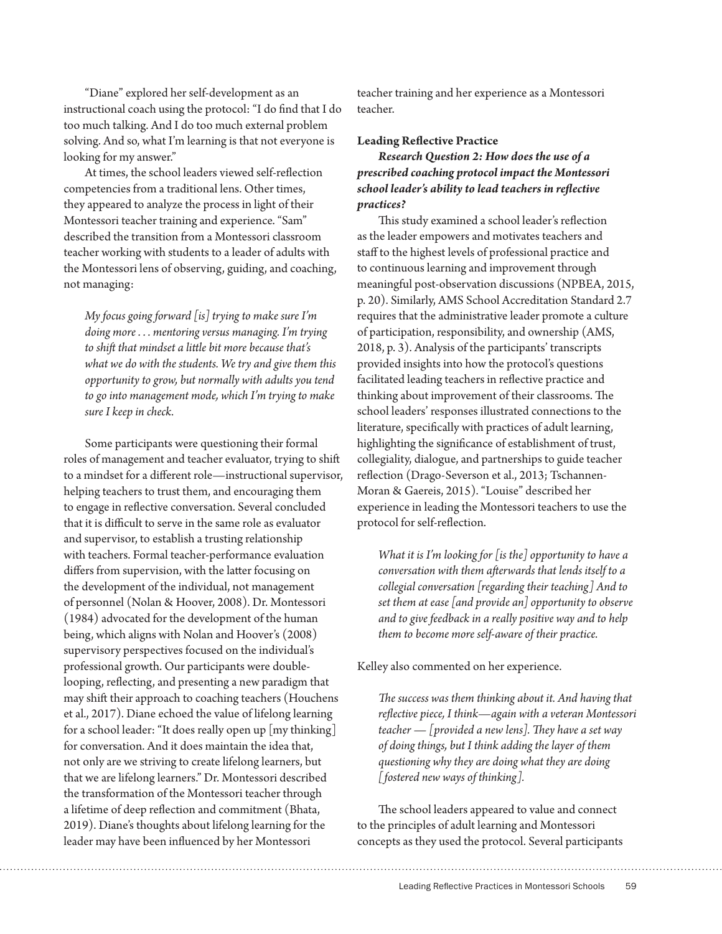"Diane" explored her self-development as an instructional coach using the protocol: "I do find that I do too much talking. And I do too much external problem solving. And so, what I'm learning is that not everyone is looking for my answer."

At times, the school leaders viewed self-reflection competencies from a traditional lens. Other times, they appeared to analyze the process in light of their Montessori teacher training and experience. "Sam" described the transition from a Montessori classroom teacher working with students to a leader of adults with the Montessori lens of observing, guiding, and coaching, not managing:

*My focus going forward [is] trying to make sure I'm doing more . . . mentoring versus managing. I'm trying to shift that mindset a little bit more because that's what we do with the students. We try and give them this opportunity to grow, but normally with adults you tend to go into management mode, which I'm trying to make sure I keep in check.*

Some participants were questioning their formal roles of management and teacher evaluator, trying to shift to a mindset for a different role—instructional supervisor, helping teachers to trust them, and encouraging them to engage in reflective conversation. Several concluded that it is difficult to serve in the same role as evaluator and supervisor, to establish a trusting relationship with teachers. Formal teacher-performance evaluation differs from supervision, with the latter focusing on the development of the individual, not management of personnel (Nolan & Hoover, 2008). Dr. Montessori (1984) advocated for the development of the human being, which aligns with Nolan and Hoover's (2008) supervisory perspectives focused on the individual's professional growth. Our participants were doublelooping, reflecting, and presenting a new paradigm that may shift their approach to coaching teachers (Houchens et al., 2017). Diane echoed the value of lifelong learning for a school leader: "It does really open up [my thinking] for conversation. And it does maintain the idea that, not only are we striving to create lifelong learners, but that we are lifelong learners." Dr. Montessori described the transformation of the Montessori teacher through a lifetime of deep reflection and commitment (Bhata, 2019). Diane's thoughts about lifelong learning for the leader may have been influenced by her Montessori

teacher training and her experience as a Montessori teacher.

#### **Leading Reflective Practice**

*Research Question 2: How does the use of a prescribed coaching protocol impact the Montessori school leader's ability to lead teachers in reflective practices?*

This study examined a school leader's reflection as the leader empowers and motivates teachers and staff to the highest levels of professional practice and to continuous learning and improvement through meaningful post-observation discussions (NPBEA, 2015, p. 20). Similarly, AMS School Accreditation Standard 2.7 requires that the administrative leader promote a culture of participation, responsibility, and ownership (AMS, 2018, p. 3). Analysis of the participants' transcripts provided insights into how the protocol's questions facilitated leading teachers in reflective practice and thinking about improvement of their classrooms. The school leaders' responses illustrated connections to the literature, specifically with practices of adult learning, highlighting the significance of establishment of trust, collegiality, dialogue, and partnerships to guide teacher reflection (Drago-Severson et al., 2013; Tschannen-Moran & Gaereis, 2015). "Louise" described her experience in leading the Montessori teachers to use the protocol for self-reflection.

*What it is I'm looking for [is the] opportunity to have a conversation with them afterwards that lends itself to a collegial conversation [regarding their teaching] And to set them at ease [and provide an] opportunity to observe and to give feedback in a really positive way and to help them to become more self-aware of their practice.*

Kelley also commented on her experience.

*The success was them thinking about it. And having that reflective piece, I think—again with a veteran Montessori teacher — [provided a new lens]. They have a set way of doing things, but I think adding the layer of them questioning why they are doing what they are doing [fostered new ways of thinking].*

The school leaders appeared to value and connect to the principles of adult learning and Montessori concepts as they used the protocol. Several participants

Leading Reflective Practices in Montessori Schools 59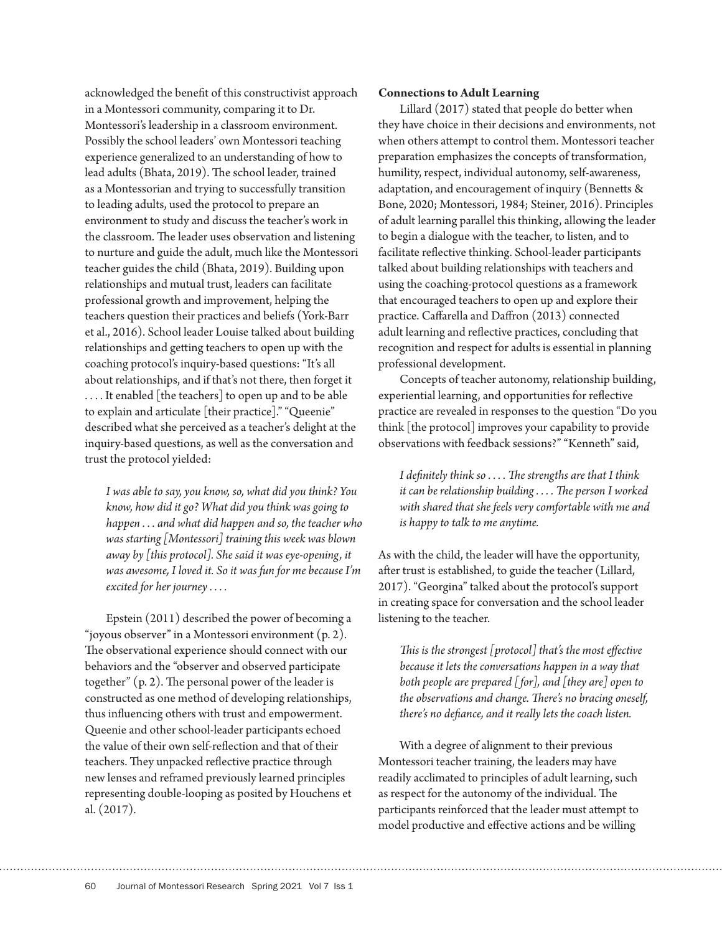acknowledged the benefit of this constructivist approach in a Montessori community, comparing it to Dr. Montessori's leadership in a classroom environment. Possibly the school leaders' own Montessori teaching experience generalized to an understanding of how to lead adults (Bhata, 2019). The school leader, trained as a Montessorian and trying to successfully transition to leading adults, used the protocol to prepare an environment to study and discuss the teacher's work in the classroom. The leader uses observation and listening to nurture and guide the adult, much like the Montessori teacher guides the child (Bhata, 2019). Building upon relationships and mutual trust, leaders can facilitate professional growth and improvement, helping the teachers question their practices and beliefs (York-Barr et al., 2016). School leader Louise talked about building relationships and getting teachers to open up with the coaching protocol's inquiry-based questions: "It's all about relationships, and if that's not there, then forget it . . . . It enabled [the teachers] to open up and to be able to explain and articulate [their practice]." "Queenie" described what she perceived as a teacher's delight at the inquiry-based questions, as well as the conversation and trust the protocol yielded:

*I was able to say, you know, so, what did you think? You know, how did it go? What did you think was going to happen . . . and what did happen and so, the teacher who was starting [Montessori] training this week was blown away by [this protocol]. She said it was eye-opening, it was awesome, I loved it. So it was fun for me because I'm excited for her journey . . . .* 

Epstein (2011) described the power of becoming a "joyous observer" in a Montessori environment (p. 2). The observational experience should connect with our behaviors and the "observer and observed participate together" (p. 2). The personal power of the leader is constructed as one method of developing relationships, thus influencing others with trust and empowerment. Queenie and other school-leader participants echoed the value of their own self-reflection and that of their teachers. They unpacked reflective practice through new lenses and reframed previously learned principles representing double-looping as posited by Houchens et al. (2017).

## **Connections to Adult Learning**

Lillard (2017) stated that people do better when they have choice in their decisions and environments, not when others attempt to control them. Montessori teacher preparation emphasizes the concepts of transformation, humility, respect, individual autonomy, self-awareness, adaptation, and encouragement of inquiry (Bennetts & Bone, 2020; Montessori, 1984; Steiner, 2016). Principles of adult learning parallel this thinking, allowing the leader to begin a dialogue with the teacher, to listen, and to facilitate reflective thinking. School-leader participants talked about building relationships with teachers and using the coaching-protocol questions as a framework that encouraged teachers to open up and explore their practice. Caffarella and Daffron (2013) connected adult learning and reflective practices, concluding that recognition and respect for adults is essential in planning professional development.

Concepts of teacher autonomy, relationship building, experiential learning, and opportunities for reflective practice are revealed in responses to the question "Do you think [the protocol] improves your capability to provide observations with feedback sessions?" "Kenneth" said,

*I definitely think so . . . . The strengths are that I think it can be relationship building . . . . The person I worked with shared that she feels very comfortable with me and is happy to talk to me anytime.*

As with the child, the leader will have the opportunity, after trust is established, to guide the teacher (Lillard, 2017). "Georgina" talked about the protocol's support in creating space for conversation and the school leader listening to the teacher.

*This is the strongest [protocol] that's the most effective because it lets the conversations happen in a way that both people are prepared [for], and [they are] open to the observations and change. There's no bracing oneself, there's no defiance, and it really lets the coach listen.*

With a degree of alignment to their previous Montessori teacher training, the leaders may have readily acclimated to principles of adult learning, such as respect for the autonomy of the individual. The participants reinforced that the leader must attempt to model productive and effective actions and be willing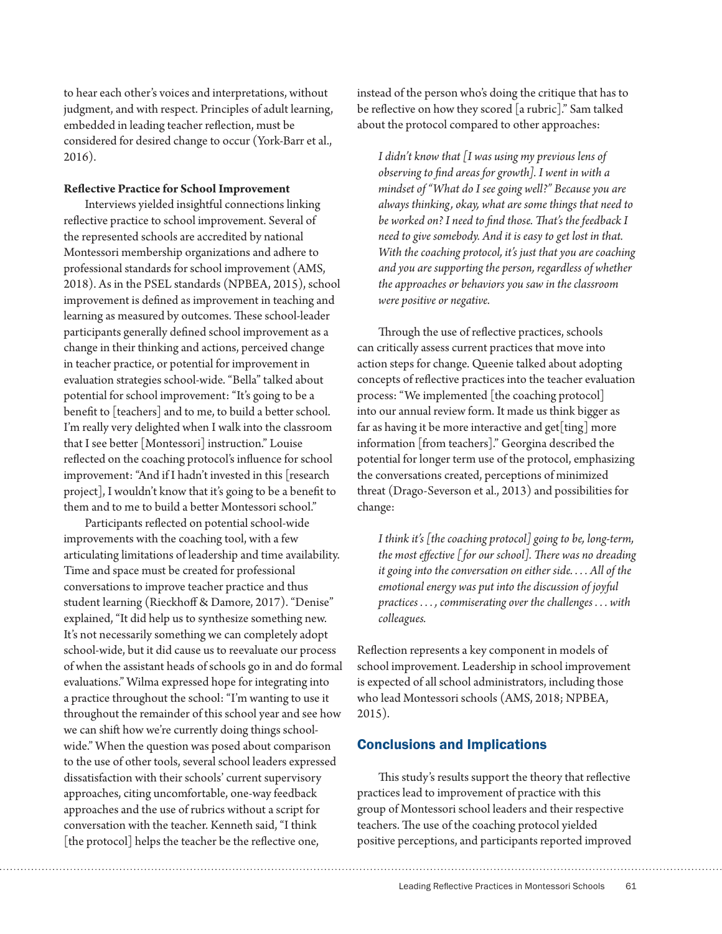to hear each other's voices and interpretations, without judgment, and with respect. Principles of adult learning, embedded in leading teacher reflection, must be considered for desired change to occur (York-Barr et al., 2016).

## **Reflective Practice for School Improvement**

Interviews yielded insightful connections linking reflective practice to school improvement. Several of the represented schools are accredited by national Montessori membership organizations and adhere to professional standards for school improvement (AMS, 2018). As in the PSEL standards (NPBEA, 2015), school improvement is defined as improvement in teaching and learning as measured by outcomes. These school-leader participants generally defined school improvement as a change in their thinking and actions, perceived change in teacher practice, or potential for improvement in evaluation strategies school-wide. "Bella" talked about potential for school improvement: "It's going to be a benefit to [teachers] and to me, to build a better school. I'm really very delighted when I walk into the classroom that I see better [Montessori] instruction." Louise reflected on the coaching protocol's influence for school improvement: "And if I hadn't invested in this [research project], I wouldn't know that it's going to be a benefit to them and to me to build a better Montessori school."

Participants reflected on potential school-wide improvements with the coaching tool, with a few articulating limitations of leadership and time availability. Time and space must be created for professional conversations to improve teacher practice and thus student learning (Rieckhoff & Damore, 2017). "Denise" explained, "It did help us to synthesize something new. It's not necessarily something we can completely adopt school-wide, but it did cause us to reevaluate our process of when the assistant heads of schools go in and do formal evaluations." Wilma expressed hope for integrating into a practice throughout the school: "I'm wanting to use it throughout the remainder of this school year and see how we can shift how we're currently doing things schoolwide." When the question was posed about comparison to the use of other tools, several school leaders expressed dissatisfaction with their schools' current supervisory approaches, citing uncomfortable, one-way feedback approaches and the use of rubrics without a script for conversation with the teacher. Kenneth said, "I think [the protocol] helps the teacher be the reflective one,

instead of the person who's doing the critique that has to be reflective on how they scored [a rubric]." Sam talked about the protocol compared to other approaches:

*I didn't know that [I was using my previous lens of observing to find areas for growth]. I went in with a mindset of "What do I see going well?" Because you are always thinking, okay, what are some things that need to be worked on? I need to find those. That's the feedback I need to give somebody. And it is easy to get lost in that. With the coaching protocol, it's just that you are coaching and you are supporting the person, regardless of whether the approaches or behaviors you saw in the classroom were positive or negative.*

Through the use of reflective practices, schools can critically assess current practices that move into action steps for change. Queenie talked about adopting concepts of reflective practices into the teacher evaluation process: "We implemented [the coaching protocol] into our annual review form. It made us think bigger as far as having it be more interactive and get[ting] more information [from teachers]." Georgina described the potential for longer term use of the protocol, emphasizing the conversations created, perceptions of minimized threat (Drago-Severson et al., 2013) and possibilities for change:

*I think it's [the coaching protocol] going to be, long-term, the most effective [for our school]. There was no dreading it going into the conversation on either side. . . . All of the emotional energy was put into the discussion of joyful practices . . . , commiserating over the challenges . . . with colleagues.*

Reflection represents a key component in models of school improvement. Leadership in school improvement is expected of all school administrators, including those who lead Montessori schools (AMS, 2018; NPBEA, 2015).

## Conclusions and Implications

This study's results support the theory that reflective practices lead to improvement of practice with this group of Montessori school leaders and their respective teachers. The use of the coaching protocol yielded positive perceptions, and participants reported improved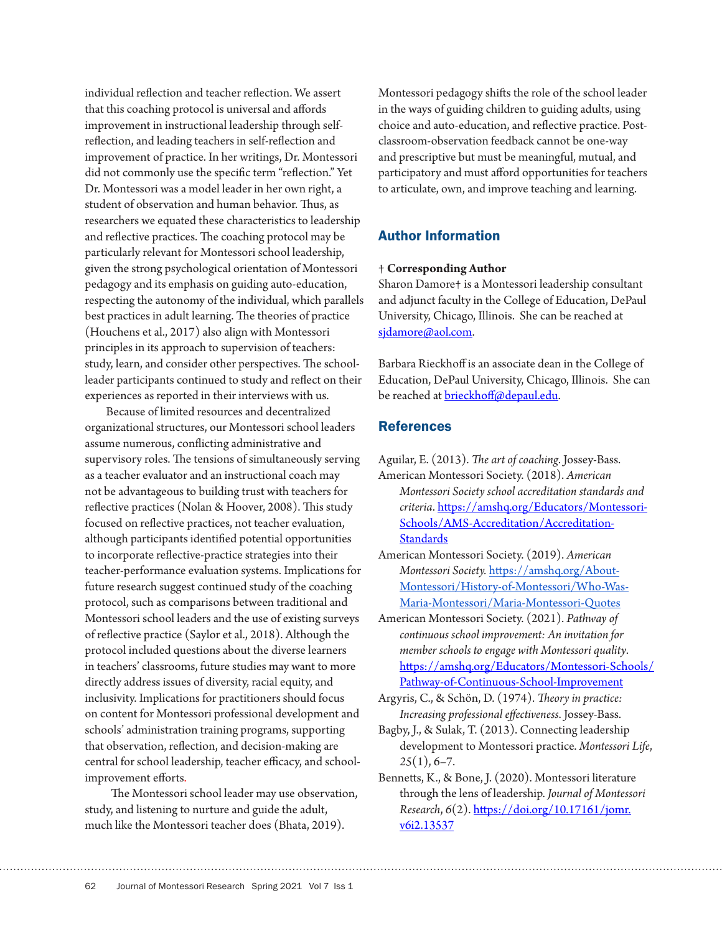individual reflection and teacher reflection. We assert that this coaching protocol is universal and affords improvement in instructional leadership through selfreflection, and leading teachers in self-reflection and improvement of practice. In her writings, Dr. Montessori did not commonly use the specific term "reflection." Yet Dr. Montessori was a model leader in her own right, a student of observation and human behavior. Thus, as researchers we equated these characteristics to leadership and reflective practices. The coaching protocol may be particularly relevant for Montessori school leadership, given the strong psychological orientation of Montessori pedagogy and its emphasis on guiding auto-education, respecting the autonomy of the individual, which parallels best practices in adult learning. The theories of practice (Houchens et al., 2017) also align with Montessori principles in its approach to supervision of teachers: study, learn, and consider other perspectives. The schoolleader participants continued to study and reflect on their experiences as reported in their interviews with us.

Because of limited resources and decentralized organizational structures, our Montessori school leaders assume numerous, conflicting administrative and supervisory roles. The tensions of simultaneously serving as a teacher evaluator and an instructional coach may not be advantageous to building trust with teachers for reflective practices (Nolan & Hoover, 2008). This study focused on reflective practices, not teacher evaluation, although participants identified potential opportunities to incorporate reflective-practice strategies into their teacher-performance evaluation systems. Implications for future research suggest continued study of the coaching protocol, such as comparisons between traditional and Montessori school leaders and the use of existing surveys of reflective practice (Saylor et al., 2018). Although the protocol included questions about the diverse learners in teachers' classrooms, future studies may want to more directly address issues of diversity, racial equity, and inclusivity. Implications for practitioners should focus on content for Montessori professional development and schools' administration training programs, supporting that observation, reflection, and decision-making are central for school leadership, teacher efficacy, and schoolimprovement efforts.

 The Montessori school leader may use observation, study, and listening to nurture and guide the adult, much like the Montessori teacher does (Bhata, 2019).

Montessori pedagogy shifts the role of the school leader in the ways of guiding children to guiding adults, using choice and auto-education, and reflective practice. Postclassroom-observation feedback cannot be one-way and prescriptive but must be meaningful, mutual, and participatory and must afford opportunities for teachers to articulate, own, and improve teaching and learning.

# Author Information

# **† Corresponding Author**

Sharon Damore† is a Montessori leadership consultant and adjunct faculty in the College of Education, DePaul University, Chicago, Illinois. She can be reached at [sjdamore@aol.com.](mailto:sjdamore@aol.com)

Barbara Rieckhoff is an associate dean in the College of Education, DePaul University, Chicago, Illinois. She can be reached at **brieckhoff@depaul.edu**.

# References

Aguilar, E. (2013). *The art of coaching*. Jossey-Bass. American Montessori Society. (2018). *American Montessori Society school accreditation standards and criteria*. [https://amshq.org/Educators/Montessori-](https://amshq.org/Educators/Montessori-Schools/AMS-Accreditation/Accreditation-Standards)[Schools/AMS-Accreditation/Accreditation-](https://amshq.org/Educators/Montessori-Schools/AMS-Accreditation/Accreditation-Standards)**[Standards](https://amshq.org/Educators/Montessori-Schools/AMS-Accreditation/Accreditation-Standards)** 

American Montessori Society. (2019). *American Montessori Society.* [https://amshq.org/About-](https://amshq.org/About-Montessori/History-of-Montessori/Who-Was-Maria-Montessori/Maria-Montessori-Quotes)[Montessori/History-of-Montessori/Who-Was-](https://amshq.org/About-Montessori/History-of-Montessori/Who-Was-Maria-Montessori/Maria-Montessori-Quotes)[Maria-Montessori/Maria-Montessori-Quotes](https://amshq.org/About-Montessori/History-of-Montessori/Who-Was-Maria-Montessori/Maria-Montessori-Quotes)

American Montessori Society. (2021). *Pathway of continuous school improvement: An invitation for member schools to engage with Montessori quality*. [https://amshq.org/Educators/Montessori-Schools/](https://amshq.org/Educators/Montessori-Schools/Pathway-of-Continuous-School-Improvement) [Pathway-of-Continuous-School-Improvement](https://amshq.org/Educators/Montessori-Schools/Pathway-of-Continuous-School-Improvement)

Argyris, C., & Schön, D. (1974). *Theory in practice: Increasing professional effectiveness*. Jossey-Bass.

Bagby, J., & Sulak, T. (2013). Connecting leadership development to Montessori practice. *Montessori Life*, *25*(1), 6–7.

Bennetts, K., & Bone, J. (2020). Montessori literature through the lens of leadership. *Journal of Montessori Research*, *6*(2). [https://doi.org/10.17161/jomr.](https://doi.org/10.17161/jomr.v6i2.13537) [v6i2.13537](https://doi.org/10.17161/jomr.v6i2.13537)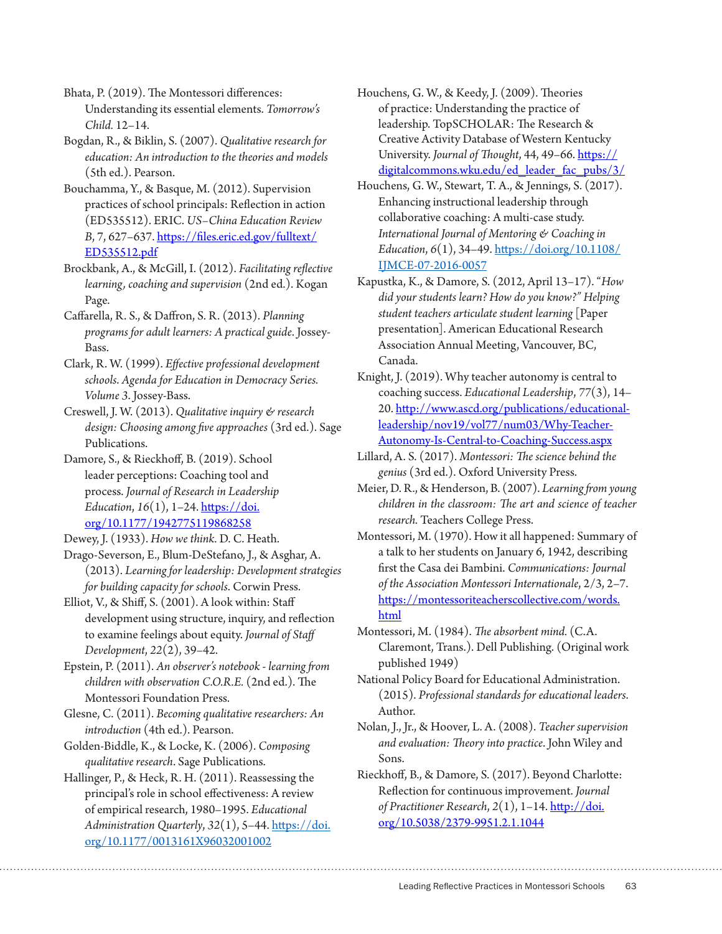Bhata, P. (2019). The Montessori differences: Understanding its essential elements. *Tomorrow's Child.* 12–14.

Bogdan, R., & Biklin, S. (2007). *Qualitative research for education: An introduction to the theories and models* (5th ed.). Pearson.

Bouchamma, Y., & Basque, M. (2012). Supervision practices of school principals: Reflection in action (ED535512). ERIC. *US–China Education Review B*, 7, 627–637. [https://files.eric.ed.gov/fulltext/](https://files.eric.ed.gov/fulltext/ED535512.pdf) [ED535512.pdf](https://files.eric.ed.gov/fulltext/ED535512.pdf)

Brockbank, A., & McGill, I. (2012). *Facilitating reflective learning, coaching and supervision* (2nd ed.). Kogan Page.

Caffarella, R. S., & Daffron, S. R. (2013). *Planning programs for adult learners: A practical guide*. Jossey-Bass.

Clark, R. W. (1999). *Effective professional development schools*. *Agenda for Education in Democracy Series. Volume 3*. Jossey-Bass.

Creswell, J. W. (2013). *Qualitative inquiry & research design: Choosing among five approaches* (3rd ed.). Sage Publications.

Damore, S., & Rieckhoff, B. (2019). School leader perceptions: Coaching tool and process. *Journal of Research in Leadership Education*, *16*(1), 1–24. [https://doi.](https://doi.org/10.1177/1942775119868258) [org/10.1177/1942775119868258](https://doi.org/10.1177/1942775119868258)

Dewey, J. (1933). *How we think.* D. C. Heath.

Drago-Severson, E., Blum-DeStefano, J., & Asghar, A. (2013). *Learning for leadership: Development strategies for building capacity for schools*. Corwin Press.

Elliot, V., & Shiff, S. (2001). A look within: Staff development using structure, inquiry, and reflection to examine feelings about equity. *Journal of Staff Development*, *22*(2), 39–42.

Epstein, P. (2011). *An observer's notebook - learning from children with observation C.O.R.E.* (2nd ed.). The Montessori Foundation Press.

Glesne, C. (2011). *Becoming qualitative researchers: An introduction* (4th ed.). Pearson.

Golden-Biddle, K., & Locke, K. (2006). *Composing qualitative research*. Sage Publications.

Hallinger, P., & Heck, R. H. (2011). Reassessing the principal's role in school effectiveness: A review of empirical research, 1980–1995. *Educational Administration Quarterly*, *32*(1), 5–44. [https://doi.](https://doi.org/10.1177/0013161X96032001002) [org/10.1177/0013161X96032001002](https://doi.org/10.1177/0013161X96032001002)

Houchens, G. W., & Keedy, J. (2009). Theories of practice: Understanding the practice of leadership. TopSCHOLAR: The Research & Creative Activity Database of Western Kentucky University. *Journal of Thought*, 44, 49–66. [https://](https://digitalcommons.wku.edu/ed_leader_fac_pubs/3/) [digitalcommons.wku.edu/ed\\_leader\\_fac\\_pubs/3/](https://digitalcommons.wku.edu/ed_leader_fac_pubs/3/)

Houchens, G. W., Stewart, T. A., & Jennings, S. (2017). Enhancing instructional leadership through collaborative coaching: A multi-case study. *International Journal of Mentoring & Coaching in Education*, *6*(1), 34–49. [https://doi.org/10.1108/](https://doi.org/10.1108/IJMCE-07-2016-0057) [IJMCE-07-2016-0057](https://doi.org/10.1108/IJMCE-07-2016-0057)

Kapustka, K., & Damore, S. (2012, April 13–17). "*How did your students learn? How do you know?" Helping student teachers articulate student learning* [Paper presentation]. American Educational Research Association Annual Meeting, Vancouver, BC, Canada.

Knight, J. (2019). Why teacher autonomy is central to coaching success. *Educational Leadership*, *77*(3), 14– 20. [http://www.ascd.org/publications/educational](http://www.ascd.org/publications/educational-leadership/nov19/vol77/num03/Why-Teacher-Autonomy-Is-Central-to-Coaching-Success.aspx)[leadership/nov19/vol77/num03/Why-Teacher-](http://www.ascd.org/publications/educational-leadership/nov19/vol77/num03/Why-Teacher-Autonomy-Is-Central-to-Coaching-Success.aspx)[Autonomy-Is-Central-to-Coaching-Success.aspx](http://www.ascd.org/publications/educational-leadership/nov19/vol77/num03/Why-Teacher-Autonomy-Is-Central-to-Coaching-Success.aspx)

Lillard, A. S. (2017). *Montessori: The science behind the genius* (3rd ed.). Oxford University Press.

Meier, D. R., & Henderson, B. (2007). *Learning from young children in the classroom: The art and science of teacher research.* Teachers College Press.

Montessori, M. (1970). How it all happened: Summary of a talk to her students on January 6, 1942, describing first the Casa dei Bambini. *Communications: Journal of the Association Montessori Internationale*, 2/3, 2–7. https://montessoriteacherscollective.com/words. html

Montessori, M. (1984). *The absorbent mind.* (C.A. Claremont, Trans.). Dell Publishing. (Original work published 1949)

National Policy Board for Educational Administration. (2015). *Professional standards for educational leaders*. Author.

Nolan, J., Jr., & Hoover, L. A. (2008). *Teacher supervision and evaluation: Theory into practice*. John Wiley and Sons.

Rieckhoff, B., & Damore, S. (2017). Beyond Charlotte: Reflection for continuous improvement. *Journal of Practitioner Research*, *2*(1), 1–14. [http://doi.](http://doi.org/10.5038/2379-9951.2.1.1044
) [org/10.5038/2379-9951.2.1.1044](http://doi.org/10.5038/2379-9951.2.1.1044
)

Leading Reflective Practices in Montessori Schools 63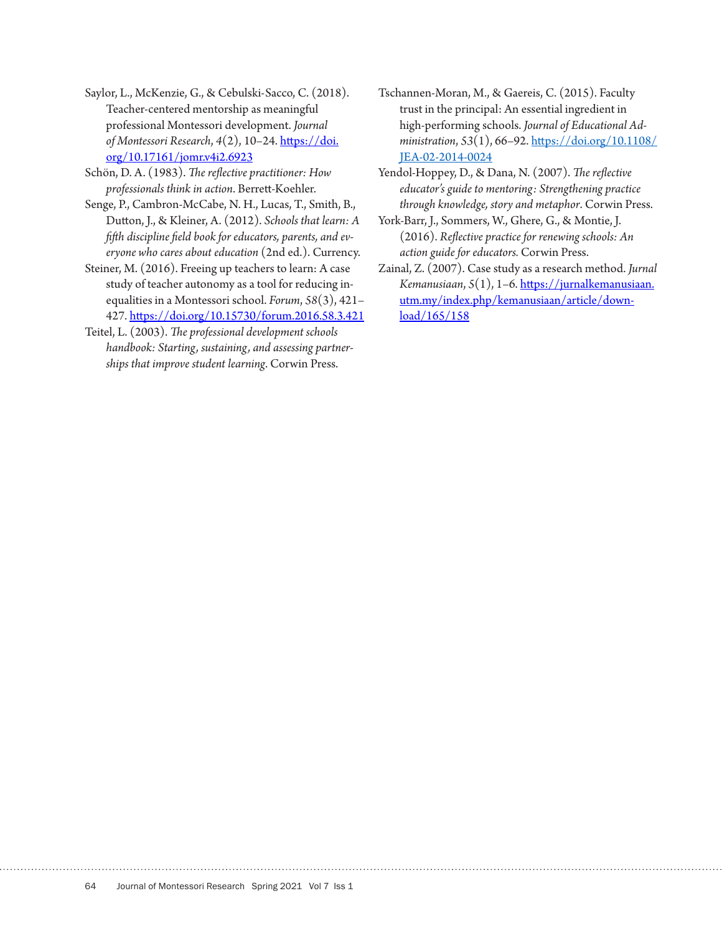Saylor, L., McKenzie, G., & Cebulski-Sacco, C. (2018). Teacher-centered mentorship as meaningful professional Montessori development. *Journal of Montessori Research*, *4*(2), 10–24. [https://doi.](https://doi.org/10.17161/jomr.v4i2.6923) [org/10.17161/jomr.v4i2.6923](https://doi.org/10.17161/jomr.v4i2.6923)

Schön, D. A. (1983). *The reflective practitioner: How professionals think in action*. Berrett-Koehler.

Senge, P., Cambron-McCabe, N. H., Lucas, T., Smith, B., Dutton, J., & Kleiner, A. (2012). *Schools that learn: A fifth discipline field book for educators, parents, and everyone who cares about education* (2nd ed.). Currency.

Steiner, M. (2016). Freeing up teachers to learn: A case study of teacher autonomy as a tool for reducing inequalities in a Montessori school. *Forum*, *58*(3), 421– 427.<https://doi.org/10.15730/forum.2016.58.3.421>

Teitel, L. (2003). *The professional development schools handbook: Starting, sustaining, and assessing partnerships that improve student learning*. Corwin Press.

Tschannen-Moran, M., & Gaereis, C. (2015). Faculty trust in the principal: An essential ingredient in high-performing schools. *Journal of Educational Administration*, *53*(1), 66–92. [https://doi.org/10.1108/](https://doi.org/10.1108/JEA-02-2014-0024) [JEA-02-2014-0024](https://doi.org/10.1108/JEA-02-2014-0024)

Yendol-Hoppey, D., & Dana, N. (2007). *The reflective educator's guide to mentoring: Strengthening practice through knowledge, story and metaphor*. Corwin Press.

- York-Barr, J., Sommers, W., Ghere, G., & Montie, J. (2016). *Reflective practice for renewing schools: An action guide for educators.* Corwin Press.
- Zainal, Z. (2007). Case study as a research method. *Jurnal Kemanusiaan*, *5*(1), 1–6. [https://jurnalkemanusiaan.](https://jurnalkemanusiaan.utm.my/index.php/kemanusiaan/article/download/165/158) [utm.my/index.php/kemanusiaan/article/down](https://jurnalkemanusiaan.utm.my/index.php/kemanusiaan/article/download/165/158)[load/165/158](https://jurnalkemanusiaan.utm.my/index.php/kemanusiaan/article/download/165/158)